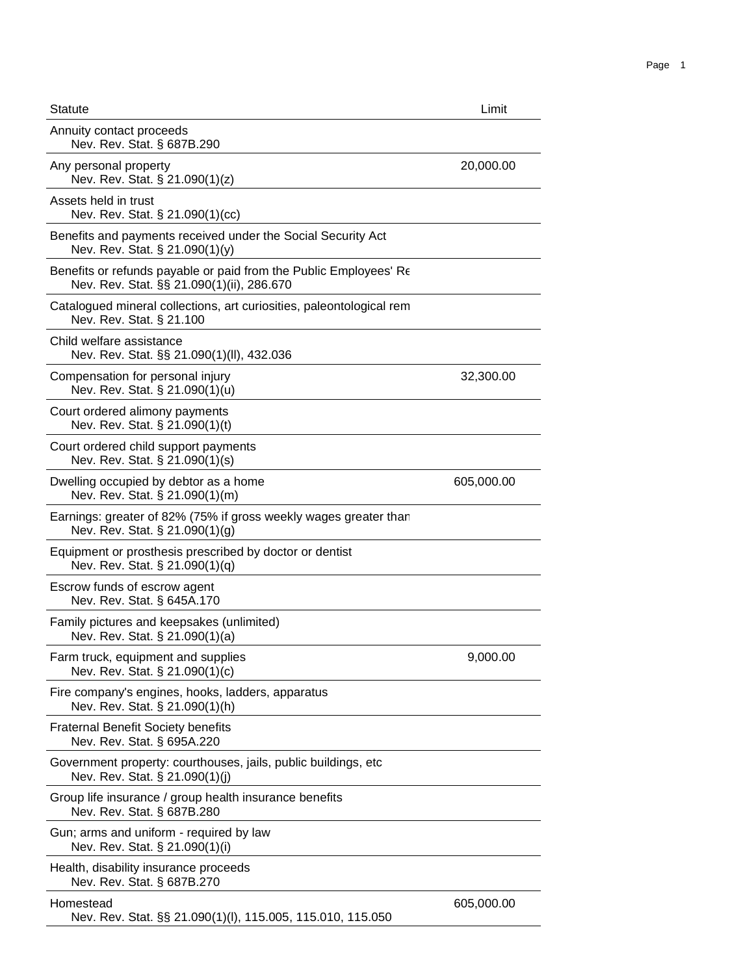| <b>Statute</b>                                                                                                 | Limit      |
|----------------------------------------------------------------------------------------------------------------|------------|
| Annuity contact proceeds<br>Nev. Rev. Stat. § 687B.290                                                         |            |
| Any personal property<br>Nev. Rev. Stat. § 21.090(1)(z)                                                        | 20,000.00  |
| Assets held in trust<br>Nev. Rev. Stat. § 21.090(1)(cc)                                                        |            |
| Benefits and payments received under the Social Security Act<br>Nev. Rev. Stat. § 21.090(1)(y)                 |            |
| Benefits or refunds payable or paid from the Public Employees' Re<br>Nev. Rev. Stat. §§ 21.090(1)(ii), 286.670 |            |
| Catalogued mineral collections, art curiosities, paleontological rem<br>Nev. Rev. Stat. § 21.100               |            |
| Child welfare assistance<br>Nev. Rev. Stat. §§ 21.090(1)(II), 432.036                                          |            |
| Compensation for personal injury<br>Nev. Rev. Stat. § 21.090(1)(u)                                             | 32,300.00  |
| Court ordered alimony payments<br>Nev. Rev. Stat. § 21.090(1)(t)                                               |            |
| Court ordered child support payments<br>Nev. Rev. Stat. § 21.090(1)(s)                                         |            |
| Dwelling occupied by debtor as a home<br>Nev. Rev. Stat. § 21.090(1)(m)                                        | 605,000.00 |
| Earnings: greater of 82% (75% if gross weekly wages greater than<br>Nev. Rev. Stat. § 21.090(1)(g)             |            |
| Equipment or prosthesis prescribed by doctor or dentist<br>Nev. Rev. Stat. § 21.090(1)(q)                      |            |
| Escrow funds of escrow agent<br>Nev. Rev. Stat. § 645A.170                                                     |            |
| Family pictures and keepsakes (unlimited)<br>Nev. Rev. Stat. § 21.090(1)(a)                                    |            |
| Farm truck, equipment and supplies<br>Nev. Rev. Stat. § 21.090(1)(c)                                           | 9,000.00   |
| Fire company's engines, hooks, ladders, apparatus<br>Nev. Rev. Stat. § 21.090(1)(h)                            |            |
| <b>Fraternal Benefit Society benefits</b><br>Nev. Rev. Stat. § 695A.220                                        |            |
| Government property: courthouses, jails, public buildings, etc<br>Nev. Rev. Stat. § 21.090(1)(j)               |            |
| Group life insurance / group health insurance benefits<br>Nev. Rev. Stat. § 687B.280                           |            |
| Gun; arms and uniform - required by law<br>Nev. Rev. Stat. § 21.090(1)(i)                                      |            |
| Health, disability insurance proceeds<br>Nev. Rev. Stat. § 687B.270                                            |            |
| Homestead<br>Nev. Rev. Stat. §§ 21.090(1)(I), 115.005, 115.010, 115.050                                        | 605,000.00 |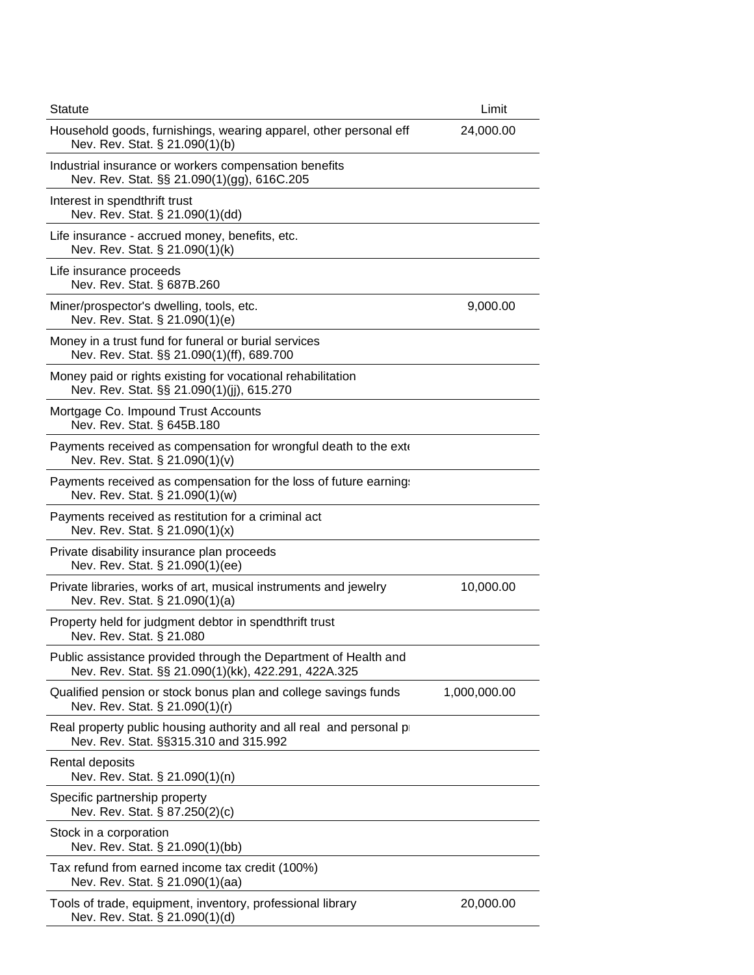| <b>Statute</b>                                                                                                         | Limit        |  |
|------------------------------------------------------------------------------------------------------------------------|--------------|--|
| Household goods, furnishings, wearing apparel, other personal eff<br>Nev. Rev. Stat. § 21.090(1)(b)                    | 24,000.00    |  |
| Industrial insurance or workers compensation benefits<br>Nev. Rev. Stat. §§ 21.090(1)(gg), 616C.205                    |              |  |
| Interest in spendthrift trust<br>Nev. Rev. Stat. § 21.090(1)(dd)                                                       |              |  |
| Life insurance - accrued money, benefits, etc.<br>Nev. Rev. Stat. § 21.090(1)(k)                                       |              |  |
| Life insurance proceeds<br>Nev. Rev. Stat. § 687B.260                                                                  |              |  |
| Miner/prospector's dwelling, tools, etc.<br>Nev. Rev. Stat. § 21.090(1)(e)                                             | 9,000.00     |  |
| Money in a trust fund for funeral or burial services<br>Nev. Rev. Stat. §§ 21.090(1)(ff), 689.700                      |              |  |
| Money paid or rights existing for vocational rehabilitation<br>Nev. Rev. Stat. §§ 21.090(1)(jj), 615.270               |              |  |
| Mortgage Co. Impound Trust Accounts<br>Nev. Rev. Stat. § 645B.180                                                      |              |  |
| Payments received as compensation for wrongful death to the exter-<br>Nev. Rev. Stat. § 21.090(1)(v)                   |              |  |
| Payments received as compensation for the loss of future earning:<br>Nev. Rev. Stat. § 21.090(1)(w)                    |              |  |
| Payments received as restitution for a criminal act<br>Nev. Rev. Stat. § 21.090(1)(x)                                  |              |  |
| Private disability insurance plan proceeds<br>Nev. Rev. Stat. § 21.090(1)(ee)                                          |              |  |
| Private libraries, works of art, musical instruments and jewelry<br>Nev. Rev. Stat. § 21.090(1)(a)                     | 10,000.00    |  |
| Property held for judgment debtor in spendthrift trust<br>Nev. Rev. Stat. § 21.080                                     |              |  |
| Public assistance provided through the Department of Health and<br>Nev. Rev. Stat. §§ 21.090(1)(kk), 422.291, 422A.325 |              |  |
| Qualified pension or stock bonus plan and college savings funds<br>Nev. Rev. Stat. § 21.090(1)(r)                      | 1,000,000.00 |  |
| Real property public housing authority and all real and personal p<br>Nev. Rev. Stat. §§315.310 and 315.992            |              |  |
| Rental deposits<br>Nev. Rev. Stat. § 21.090(1)(n)                                                                      |              |  |
| Specific partnership property<br>Nev. Rev. Stat. § 87.250(2)(c)                                                        |              |  |
| Stock in a corporation<br>Nev. Rev. Stat. § 21.090(1)(bb)                                                              |              |  |
| Tax refund from earned income tax credit (100%)<br>Nev. Rev. Stat. § 21.090(1)(aa)                                     |              |  |
| Tools of trade, equipment, inventory, professional library<br>Nev. Rev. Stat. § 21.090(1)(d)                           | 20,000.00    |  |
|                                                                                                                        |              |  |